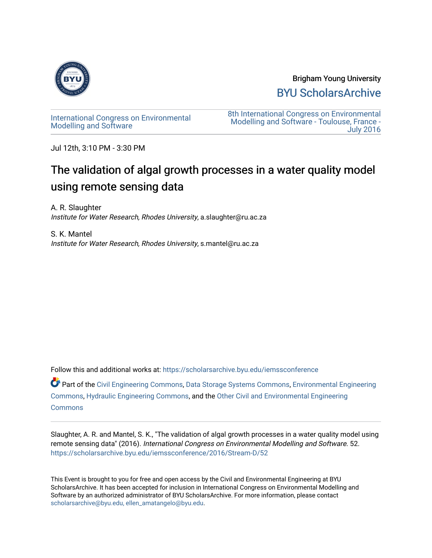

Brigham Young University [BYU ScholarsArchive](https://scholarsarchive.byu.edu/) 

[International Congress on Environmental](https://scholarsarchive.byu.edu/iemssconference)  [Modelling and Software](https://scholarsarchive.byu.edu/iemssconference) 

[8th International Congress on Environmental](https://scholarsarchive.byu.edu/iemssconference/2016)  [Modelling and Software - Toulouse, France -](https://scholarsarchive.byu.edu/iemssconference/2016)  [July 2016](https://scholarsarchive.byu.edu/iemssconference/2016) 

Jul 12th, 3:10 PM - 3:30 PM

# The validation of algal growth processes in a water quality model using remote sensing data

A. R. Slaughter Institute for Water Research, Rhodes University, a.slaughter@ru.ac.za

S. K. Mantel Institute for Water Research, Rhodes University, s.mantel@ru.ac.za

Follow this and additional works at: [https://scholarsarchive.byu.edu/iemssconference](https://scholarsarchive.byu.edu/iemssconference?utm_source=scholarsarchive.byu.edu%2Fiemssconference%2F2016%2FStream-D%2F52&utm_medium=PDF&utm_campaign=PDFCoverPages)

Part of the [Civil Engineering Commons](http://network.bepress.com/hgg/discipline/252?utm_source=scholarsarchive.byu.edu%2Fiemssconference%2F2016%2FStream-D%2F52&utm_medium=PDF&utm_campaign=PDFCoverPages), [Data Storage Systems Commons,](http://network.bepress.com/hgg/discipline/261?utm_source=scholarsarchive.byu.edu%2Fiemssconference%2F2016%2FStream-D%2F52&utm_medium=PDF&utm_campaign=PDFCoverPages) [Environmental Engineering](http://network.bepress.com/hgg/discipline/254?utm_source=scholarsarchive.byu.edu%2Fiemssconference%2F2016%2FStream-D%2F52&utm_medium=PDF&utm_campaign=PDFCoverPages) [Commons](http://network.bepress.com/hgg/discipline/254?utm_source=scholarsarchive.byu.edu%2Fiemssconference%2F2016%2FStream-D%2F52&utm_medium=PDF&utm_campaign=PDFCoverPages), [Hydraulic Engineering Commons,](http://network.bepress.com/hgg/discipline/1087?utm_source=scholarsarchive.byu.edu%2Fiemssconference%2F2016%2FStream-D%2F52&utm_medium=PDF&utm_campaign=PDFCoverPages) and the [Other Civil and Environmental Engineering](http://network.bepress.com/hgg/discipline/257?utm_source=scholarsarchive.byu.edu%2Fiemssconference%2F2016%2FStream-D%2F52&utm_medium=PDF&utm_campaign=PDFCoverPages)  **[Commons](http://network.bepress.com/hgg/discipline/257?utm_source=scholarsarchive.byu.edu%2Fiemssconference%2F2016%2FStream-D%2F52&utm_medium=PDF&utm_campaign=PDFCoverPages)** 

Slaughter, A. R. and Mantel, S. K., "The validation of algal growth processes in a water quality model using remote sensing data" (2016). International Congress on Environmental Modelling and Software. 52. [https://scholarsarchive.byu.edu/iemssconference/2016/Stream-D/52](https://scholarsarchive.byu.edu/iemssconference/2016/Stream-D/52?utm_source=scholarsarchive.byu.edu%2Fiemssconference%2F2016%2FStream-D%2F52&utm_medium=PDF&utm_campaign=PDFCoverPages) 

This Event is brought to you for free and open access by the Civil and Environmental Engineering at BYU ScholarsArchive. It has been accepted for inclusion in International Congress on Environmental Modelling and Software by an authorized administrator of BYU ScholarsArchive. For more information, please contact [scholarsarchive@byu.edu, ellen\\_amatangelo@byu.edu](mailto:scholarsarchive@byu.edu,%20ellen_amatangelo@byu.edu).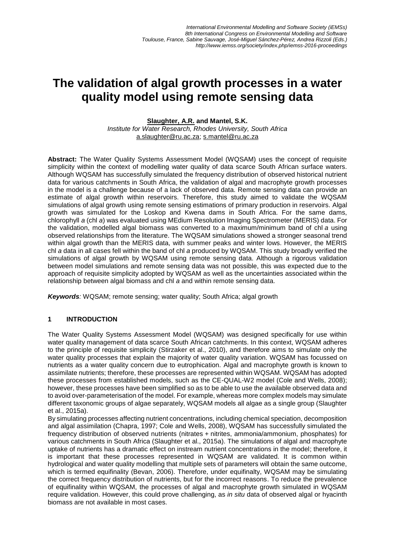## **The validation of algal growth processes in a water quality model using remote sensing data**

## **Slaughter, A.R. and Mantel, S.K.**

*Institute for Water Research, Rhodes University, South Africa* [a.slaughter@ru.ac.za;](mailto:a.slaughter@ru.ac.za) [s.mantel@ru.ac.za](mailto:s.mantel@ru.ac.za)

**Abstract:** The Water Quality Systems Assessment Model (WQSAM) uses the concept of requisite simplicity within the context of modelling water quality of data scarce South African surface waters. Although WQSAM has successfully simulated the frequency distribution of observed historical nutrient data for various catchments in South Africa, the validation of algal and macrophyte growth processes in the model is a challenge because of a lack of observed data. Remote sensing data can provide an estimate of algal growth within reservoirs. Therefore, this study aimed to validate the WQSAM simulations of algal growth using remote sensing estimations of primary production in reservoirs. Algal growth was simulated for the Loskop and Kwena dams in South Africa. For the same dams, chlorophyll *a* (chl *a*) was evaluated using MEdium Resolution Imaging Spectrometer (MERIS) data. For the validation, modelled algal biomass was converted to a maximum/minimum band of chl *a* using observed relationships from the literature. The WQSAM simulations showed a stronger seasonal trend within algal growth than the MERIS data, with summer peaks and winter lows. However, the MERIS chl *a* data in all cases fell within the band of chl *a* produced by WQSAM. This study broadly verified the simulations of algal growth by WQSAM using remote sensing data. Although a rigorous validation between model simulations and remote sensing data was not possible, this was expected due to the approach of requisite simplicity adopted by WQSAM as well as the uncertainties associated within the relationship between algal biomass and chl *a* and within remote sensing data.

*Keywords:* WQSAM; remote sensing; water quality; South Africa; algal growth

## **1 INTRODUCTION**

The Water Quality Systems Assessment Model (WQSAM) was designed specifically for use within water quality management of data scarce South African catchments. In this context, WQSAM adheres to the principle of requisite simplicity (Stirzaker et al., 2010), and therefore aims to simulate only the water quality processes that explain the majority of water quality variation. WQSAM has focussed on nutrients as a water quality concern due to eutrophication. Algal and macrophyte growth is known to assimilate nutrients; therefore, these processes are represented within WQSAM. WQSAM has adopted these processes from established models, such as the CE-QUAL-W2 model (Cole and Wells, 2008); however, these processes have been simplified so as to be able to use the available observed data and to avoid over-parameterisation of the model. For example, whereas more complex models may simulate different taxonomic groups of algae separately, WQSAM models all algae as a single group (Slaughter et al., 2015a).

By simulating processes affecting nutrient concentrations, including chemical speciation, decomposition and algal assimilation (Chapra, 1997; Cole and Wells, 2008), WQSAM has successfully simulated the frequency distribution of observed nutrients (nitrates + nitrites, ammonia/ammonium, phosphates) for various catchments in South Africa (Slaughter et al., 2015a). The simulations of algal and macrophyte uptake of nutrients has a dramatic effect on instream nutrient concentrations in the model; therefore, it is important that these processes represented in WQSAM are validated. It is common within hydrological and water quality modelling that multiple sets of parameters will obtain the same outcome, which is termed equifinality (Bevan, 2006). Therefore, under equifinalty, WQSAM may be simulating the correct frequency distribution of nutrients, but for the incorrect reasons. To reduce the prevalence of equifinality within WQSAM, the processes of algal and macrophyte growth simulated in WQSAM require validation. However, this could prove challenging, as *in situ* data of observed algal or hyacinth biomass are not available in most cases.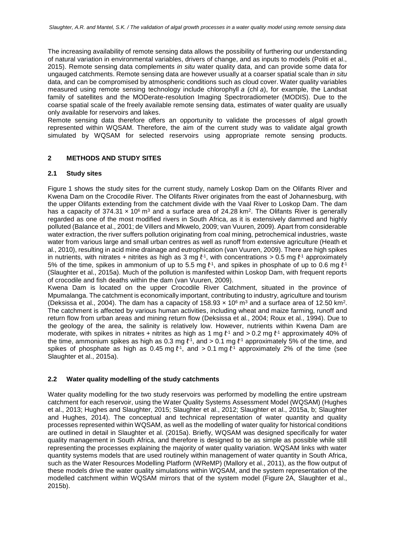The increasing availability of remote sensing data allows the possibility of furthering our understanding of natural variation in environmental variables, drivers of change, and as inputs to models (Politi et al., 2015). Remote sensing data complements *in situ* water quality data, and can provide some data for ungauged catchments. Remote sensing data are however usually at a coarser spatial scale than *in situ* data, and can be compromised by atmospheric conditions such as cloud cover. Water quality variables measured using remote sensing technology include chlorophyll *a* (chl *a*), for example, the Landsat family of satellites and the MODerate-resolution Imaging Spectroradiometer (MODIS). Due to the coarse spatial scale of the freely available remote sensing data, estimates of water quality are usually only available for reservoirs and lakes.

Remote sensing data therefore offers an opportunity to validate the processes of algal growth represented within WQSAM. Therefore, the aim of the current study was to validate algal growth simulated by WQSAM for selected reservoirs using appropriate remote sensing products.

### **2 METHODS AND STUDY SITES**

#### **2.1 Study sites**

Figure 1 shows the study sites for the current study, namely Loskop Dam on the Olifants River and Kwena Dam on the Crocodile River. The Olifants River originates from the east of Johannesburg, with the upper Olifants extending from the catchment divide with the Vaal River to Loskop Dam. The dam has a capacity of 374.31  $\times$  10<sup>6</sup> m<sup>3</sup> and a surface area of 24.28 km<sup>2</sup>. The Olifants River is generally regarded as one of the most modified rivers in South Africa, as it is extensively dammed and highly polluted (Balance et al., 2001; de Villers and Mkwelo, 2009; van Vuuren, 2009). Apart from considerable water extraction, the river suffers pollution originating from coal mining, petrochemical industries, waste water from various large and small urban centres as well as runoff from extensive agriculture (Heath et al., 2010), resulting in acid mine drainage and eutrophication (van Vuuren, 2009). There are high spikes in nutrients, with nitrates + nitrites as high as 3 mg  $\ell$ <sup>-1</sup>, with concentrations > 0.5 mg  $\ell$ <sup>-1</sup> approximately 5% of the time, spikes in ammonium of up to 5.5 mg  $l<sup>1</sup>$ , and spikes in phosphate of up to 0.6 mg  $l<sup>1</sup>$ (Slaughter et al., 2015a). Much of the pollution is manifested within Loskop Dam, with frequent reports of crocodile and fish deaths within the dam (van Vuuren, 2009).

Kwena Dam is located on the upper Crocodile River Catchment, situated in the province of Mpumalanga. The catchment is economically important, contributing to industry, agriculture and tourism (Deksissa et al., 2004). The dam has a capacity of  $158.93 \times 10^6$  m<sup>3</sup> and a surface area of 12.50 km<sup>2</sup>. The catchment is affected by various human activities, including wheat and maize farming, runoff and return flow from urban areas and mining return flow (Deksissa et al., 2004; Roux et al., 1994). Due to the geology of the area, the salinity is relatively low. However, nutrients within Kwena Dam are moderate, with spikes in nitrates + nitrites as high as 1 mg  $\ell$ <sup>1</sup> and > 0.2 mg  $\ell$ <sup>1</sup> approximately 40% of the time, ammonium spikes as high as 0.3 mg  $\ell$ <sup>-1</sup>, and > 0.1 mg  $\ell$ <sup>-1</sup> approximately 5% of the time, and spikes of phosphate as high as 0.45 mg  $l<sup>-1</sup>$ , and > 0.1 mg  $l<sup>-1</sup>$  approximately 2% of the time (see Slaughter et al., 2015a).

#### **2.2 Water quality modelling of the study catchments**

Water quality modelling for the two study reservoirs was performed by modelling the entire upstream catchment for each reservoir, using the Water Quality Systems Assessment Model (WQSAM) (Hughes et al., 2013; Hughes and Slaughter, 2015; Slaughter et al., 2012; Slaughter et al., 2015a, b; Slaughter and Hughes, 2014). The conceptual and technical representation of water quantity and quality processes represented within WQSAM, as well as the modelling of water quality for historical conditions are outlined in detail in Slaughter et al. (2015a). Briefly, WQSAM was designed specifically for water quality management in South Africa, and therefore is designed to be as simple as possible while still representing the processes explaining the majority of water quality variation. WQSAM links with water quantity systems models that are used routinely within management of water quantity in South Africa, such as the Water Resources Modelling Platform (WReMP) (Mallory et al., 2011), as the flow output of these models drive the water quality simulations within WQSAM, and the system representation of the modelled catchment within WQSAM mirrors that of the system model (Figure 2A, Slaughter et al., 2015b).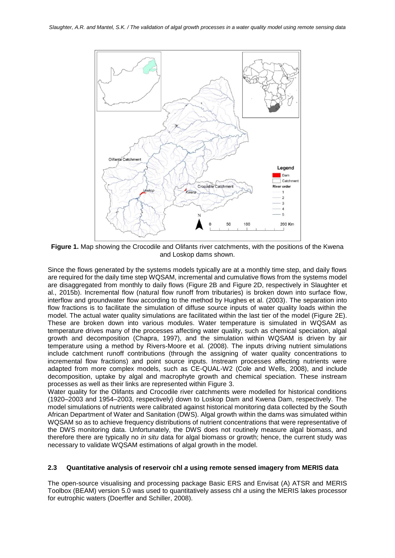

**Figure 1.** Map showing the Crocodile and Olifants river catchments, with the positions of the Kwena and Loskop dams shown.

Since the flows generated by the systems models typically are at a monthly time step, and daily flows are required for the daily time step WQSAM, incremental and cumulative flows from the systems model are disaggregated from monthly to daily flows (Figure 2B and Figure 2D, respectively in Slaughter et al., 2015b). Incremental flow (natural flow runoff from tributaries) is broken down into surface flow, interflow and groundwater flow according to the method by Hughes et al. (2003). The separation into flow fractions is to facilitate the simulation of diffuse source inputs of water quality loads within the model. The actual water quality simulations are facilitated within the last tier of the model (Figure 2E). These are broken down into various modules. Water temperature is simulated in WQSAM as temperature drives many of the processes affecting water quality, such as chemical speciation, algal growth and decomposition (Chapra, 1997), and the simulation within WQSAM is driven by air temperature using a method by Rivers-Moore et al. (2008). The inputs driving nutrient simulations include catchment runoff contributions (through the assigning of water quality concentrations to incremental flow fractions) and point source inputs. Instream processes affecting nutrients were adapted from more complex models, such as CE-QUAL-W2 (Cole and Wells, 2008), and include decomposition, uptake by algal and macrophyte growth and chemical speciation. These instream processes as well as their links are represented within Figure 3.

Water quality for the Olifants and Crocodile river catchments were modelled for historical conditions (1920–2003 and 1954–2003, respectively) down to Loskop Dam and Kwena Dam, respectively. The model simulations of nutrients were calibrated against historical monitoring data collected by the South African Department of Water and Sanitation (DWS). Algal growth within the dams was simulated within WQSAM so as to achieve frequency distributions of nutrient concentrations that were representative of the DWS monitoring data. Unfortunately, the DWS does not routinely measure algal biomass, and therefore there are typically no *in situ* data for algal biomass or growth; hence, the current study was necessary to validate WQSAM estimations of algal growth in the model.

## **2.3 Quantitative analysis of reservoir chl** *a* **using remote sensed imagery from MERIS data**

The open-source visualising and processing package Basic ERS and Envisat (A) ATSR and MERIS Toolbox (BEAM) version 5.0 was used to quantitatively assess chl *a* using the MERIS lakes processor for eutrophic waters (Doerffer and Schiller, 2008).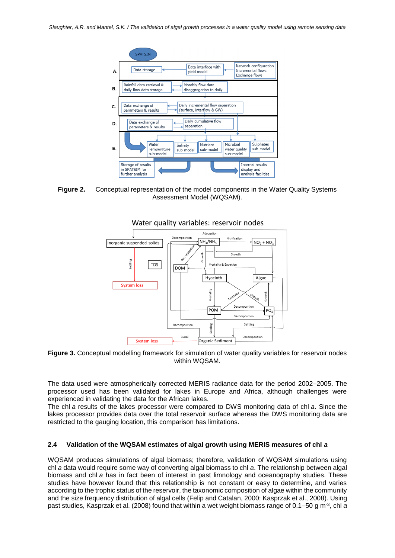

**Figure 2.** Conceptual representation of the model components in the Water Quality Systems Assessment Model (WQSAM).



**Figure 3.** Conceptual modelling framework for simulation of water quality variables for reservoir nodes within WQSAM.

The data used were atmospherically corrected MERIS radiance data for the period 2002–2005. The processor used has been validated for lakes in Europe and Africa, although challenges were experienced in validating the data for the African lakes.

The chl *a* results of the lakes processor were compared to DWS monitoring data of chl *a*. Since the lakes processor provides data over the total reservoir surface whereas the DWS monitoring data are restricted to the gauging location, this comparison has limitations.

#### **2.4 Validation of the WQSAM estimates of algal growth using MERIS measures of chl** *a*

WQSAM produces simulations of algal biomass; therefore, validation of WQSAM simulations using chl *a* data would require some way of converting algal biomass to chl *a*. The relationship between algal biomass and chl *a* has in fact been of interest in past limnology and oceanography studies. These studies have however found that this relationship is not constant or easy to determine, and varies according to the trophic status of the reservoir, the taxonomic composition of algae within the community and the size frequency distribution of algal cells (Felip and Catalan, 2000; Kasprzak et al., 2008). Using past studies, Kasprzak et al. (2008) found that within a wet weight biomass range of 0.1–50 g m-3 , chl *a*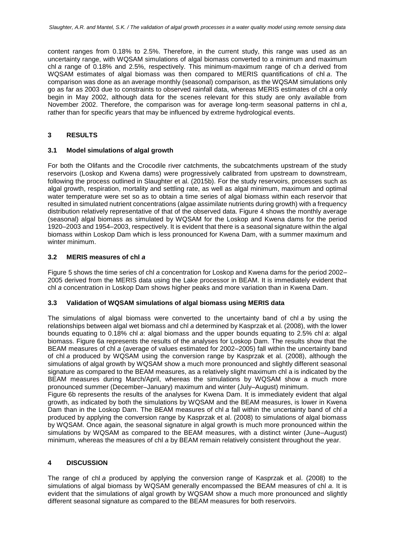content ranges from 0.18% to 2.5%. Therefore, in the current study, this range was used as an uncertainty range, with WQSAM simulations of algal biomass converted to a minimum and maximum chl *a* range of 0.18% and 2.5%, respectively. This minimum-maximum range of ch *a* derived from WQSAM estimates of algal biomass was then compared to MERIS quantifications of chl *a*. The comparison was done as an average monthly (seasonal) comparison, as the WQSAM simulations only go as far as 2003 due to constraints to observed rainfall data, whereas MERIS estimates of chl *a* only begin in May 2002, although data for the scenes relevant for this study are only available from November 2002. Therefore, the comparison was for average long-term seasonal patterns in chl *a*, rather than for specific years that may be influenced by extreme hydrological events.

## **3 RESULTS**

### **3.1 Model simulations of algal growth**

For both the Olifants and the Crocodile river catchments, the subcatchments upstream of the study reservoirs (Loskop and Kwena dams) were progressively calibrated from upstream to downstream, following the process outlined in Slaughter et al. (2015b). For the study reservoirs, processes such as algal growth, respiration, mortality and settling rate, as well as algal minimum, maximum and optimal water temperature were set so as to obtain a time series of algal biomass within each reservoir that resulted in simulated nutrient concentrations (algae assimilate nutrients during growth) with a frequency distribution relatively representative of that of the observed data. Figure 4 shows the monthly average (seasonal) algal biomass as simulated by WQSAM for the Loskop and Kwena dams for the period 1920–2003 and 1954–2003, respectively. It is evident that there is a seasonal signature within the algal biomass within Loskop Dam which is less pronounced for Kwena Dam, with a summer maximum and winter minimum.

## **3.2 MERIS measures of chl** *a*

Figure 5 shows the time series of chl *a* concentration for Loskop and Kwena dams for the period 2002– 2005 derived from the MERIS data using the Lake processor in BEAM. It is immediately evident that chl *a* concentration in Loskop Dam shows higher peaks and more variation than in Kwena Dam.

### **3.3 Validation of WQSAM simulations of algal biomass using MERIS data**

The simulations of algal biomass were converted to the uncertainty band of chl *a* by using the relationships between algal wet biomass and chl *a* determined by Kasprzak et al. (2008), with the lower bounds equating to 0.18% chl *a*: algal biomass and the upper bounds equating to 2.5% chl *a*: algal biomass. Figure 6a represents the results of the analyses for Loskop Dam. The results show that the BEAM measures of chl *a* (average of values estimated for 2002–2005) fall within the uncertainty band of chl *a* produced by WQSAM using the conversion range by Kasprzak et al. (2008), although the simulations of algal growth by WQSAM show a much more pronounced and slightly different seasonal signature as compared to the BEAM measures, as a relatively slight maximum chl a is indicated by the BEAM measures during March/April, whereas the simulations by WQSAM show a much more pronounced summer (December–January) maximum and winter (July–August) minimum.

Figure 6b represents the results of the analyses for Kwena Dam. It is immediately evident that algal growth, as indicated by both the simulations by WQSAM and the BEAM measures, is lower in Kwena Dam than in the Loskop Dam. The BEAM measures of chl *a* fall within the uncertainty band of chl *a* produced by applying the conversion range by Kasprzak et al. (2008) to simulations of algal biomass by WQSAM. Once again, the seasonal signature in algal growth is much more pronounced within the simulations by WQSAM as compared to the BEAM measures, with a distinct winter (June–August) minimum, whereas the measures of chl *a* by BEAM remain relatively consistent throughout the year.

## **4 DISCUSSION**

The range of chl *a* produced by applying the conversion range of Kasprzak et al. (2008) to the simulations of algal biomass by WQSAM generally encompassed the BEAM measures of chl *a*. It is evident that the simulations of algal growth by WQSAM show a much more pronounced and slightly different seasonal signature as compared to the BEAM measures for both reservoirs.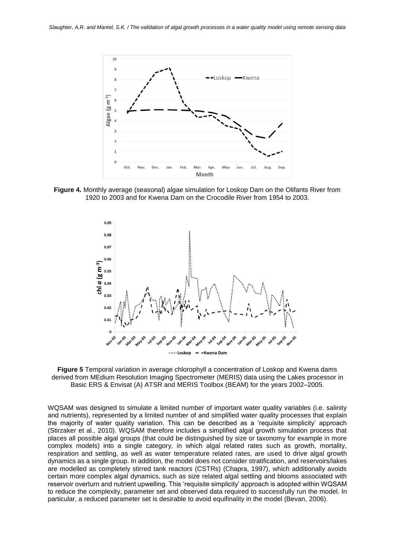

**Figure 4.** Monthly average (seasonal) algae simulation for Loskop Dam on the Olifants River from 1920 to 2003 and for Kwena Dam on the Crocodile River from 1954 to 2003.



**Figure 5** Temporal variation in average chlorophyll a concentration of Loskop and Kwena dams derived from MEdium Resolution Imaging Spectrometer (MERIS) data using the Lakes processor in Basic ERS & Envisat (A) ATSR and MERIS Toolbox (BEAM) for the years 2002–2005.

WQSAM was designed to simulate a limited number of important water quality variables (i.e. salinity and nutrients), represented by a limited number of and simplified water quality processes that explain the majority of water quality variation. This can be described as a 'requisite simplicity' approach (Stirzaker et al., 2010). WQSAM therefore includes a simplified algal growth simulation process that places all possible algal groups (that could be distinguished by size or taxonomy for example in more complex models) into a single category, in which algal related rates such as growth, mortality, respiration and settling, as well as water temperature related rates, are used to drive algal growth dynamics as a single group. In addition, the model does not consider stratification, and reservoirs/lakes are modelled as completely stirred tank reactors (CSTRs) (Chapra, 1997), which additionally avoids certain more complex algal dynamics, such as size related algal settling and blooms associated with reservoir overturn and nutrient upwelling. This 'requisite simplicity' approach is adopted within WQSAM to reduce the complexity, parameter set and observed data required to successfully run the model. In particular, a reduced parameter set is desirable to avoid equifinality in the model (Bevan, 2006).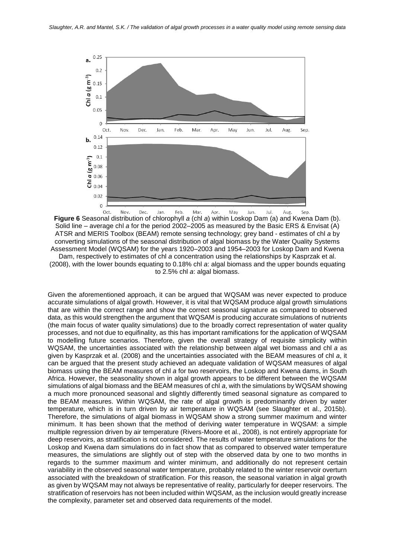

**Figure 6** Seasonal distribution of chlorophyll *a* (chl *a*) within Loskop Dam (a) and Kwena Dam (b). Solid line – average chl *a* for the period 2002–2005 as measured by the Basic ERS & Envisat (A) ATSR and MERIS Toolbox (BEAM) remote sensing technology; grey band - estimates of chl *a* by converting simulations of the seasonal distribution of algal biomass by the Water Quality Systems Assessment Model (WQSAM) for the years 1920–2003 and 1954–2003 for Loskop Dam and Kwena Dam, respectively to estimates of chl *a* concentration using the relationships by Kasprzak et al. (2008), with the lower bounds equating to 0.18% chl *a*: algal biomass and the upper bounds equating to 2.5% chl *a*: algal biomass.

Given the aforementioned approach, it can be argued that WQSAM was never expected to produce accurate simulations of algal growth. However, it is vital that WQSAM produce algal growth simulations that are within the correct range and show the correct seasonal signature as compared to observed data, as this would strengthen the argument that WQSAM is producing accurate simulations of nutrients (the main focus of water quality simulations) due to the broadly correct representation of water quality processes, and not due to equifinality, as this has important ramifications for the application of WQSAM to modelling future scenarios. Therefore, given the overall strategy of requisite simplicity within WQSAM, the uncertainties associated with the relationship between algal wet biomass and chl *a* as given by Kasprzak et al. (2008) and the uncertainties associated with the BEAM measures of chl *a*, it can be argued that the present study achieved an adequate validation of WQSAM measures of algal biomass using the BEAM measures of chl *a* for two reservoirs, the Loskop and Kwena dams, in South Africa. However, the seasonality shown in algal growth appears to be different between the WQSAM simulations of algal biomass and the BEAM measures of chl *a*, with the simulations by WQSAM showing a much more pronounced seasonal and slightly differently timed seasonal signature as compared to the BEAM measures. Within WQSAM, the rate of algal growth is predominantly driven by water temperature, which is in turn driven by air temperature in WQSAM (see Slaughter et al., 2015b). Therefore, the simulations of algal biomass in WQSAM show a strong summer maximum and winter minimum. It has been shown that the method of deriving water temperature in WQSAM: a simple multiple regression driven by air temperature (Rivers-Moore et al., 2008), is not entirely appropriate for deep reservoirs, as stratification is not considered. The results of water temperature simulations for the Loskop and Kwena dam simulations do in fact show that as compared to observed water temperature measures, the simulations are slightly out of step with the observed data by one to two months in regards to the summer maximum and winter minimum, and additionally do not represent certain variability in the observed seasonal water temperature, probably related to the winter reservoir overturn associated with the breakdown of stratification. For this reason, the seasonal variation in algal growth as given by WQSAM may not always be representative of reality, particularly for deeper reservoirs. The stratification of reservoirs has not been included within WQSAM, as the inclusion would greatly increase the complexity, parameter set and observed data requirements of the model.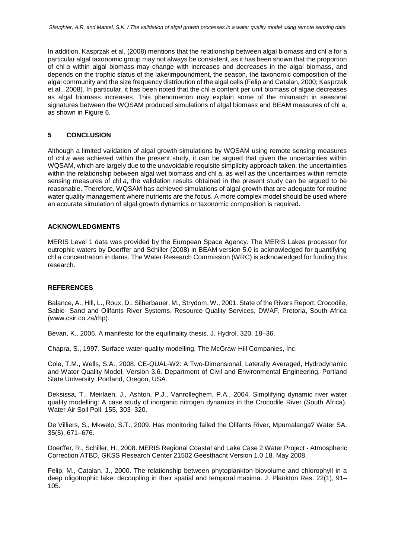In addition, Kasprzak et al. (2008) mentions that the relationship between algal biomass and chl *a* for a particular algal taxonomic group may not always be consistent, as it has been shown that the proportion of chl *a* within algal biomass may change with increases and decreases in the algal biomass, and depends on the trophic status of the lake/impoundment, the season, the taxonomic composition of the algal community and the size frequency distribution of the algal cells (Felip and Catalan, 2000; Kasprzak et al., 2008). In particular, it has been noted that the chl *a* content per unit biomass of algae decreases as algal biomass increases. This phenomenon may explain some of the mismatch in seasonal signatures between the WQSAM produced simulations of algal biomass and BEAM measures of chl a, as shown in Figure 6.

## **5 CONCLUSION**

Although a limited validation of algal growth simulations by WQSAM using remote sensing measures of chl *a* was achieved within the present study, it can be argued that given the uncertainties within WQSAM, which are largely due to the unavoidable requisite simplicity approach taken, the uncertainties within the relationship between algal wet biomass and chl a, as well as the uncertainties within remote sensing measures of chl *a*, the validation results obtained in the present study can be argued to be reasonable. Therefore, WQSAM has achieved simulations of algal growth that are adequate for routine water quality management where nutrients are the focus. A more complex model should be used where an accurate simulation of algal growth dynamics or taxonomic composition is required.

#### **ACKNOWLEDGMENTS**

MERIS Level 1 data was provided by the European Space Agency. The MERIS Lakes processor for eutrophic waters by Doerffer and Schiller (2008) in BEAM version 5.0 is acknowledged for quantifying chl *a* concentration in dams. The Water Research Commission (WRC) is acknowledged for funding this research.

#### **REFERENCES**

Balance, A., Hill, L., Roux, D., Silberbauer, M., Strydom, W., 2001. State of the Rivers Report: Crocodile, Sabie- Sand and Olifants River Systems. Resource Quality Services, DWAF, Pretoria, South Africa (www.csir.co.za/rhp).

Bevan, K., 2006. A manifesto for the equifinality thesis. J. Hydrol. 320, 18–36.

Chapra, S., 1997. Surface water-quality modelling. The McGraw-Hill Companies, Inc.

Cole, T.M., Wells, S.A., 2008. CE-QUAL-W2: A Two-Dimensional, Laterally Averaged, Hydrodynamic and Water Quality Model, Version 3.6. Department of Civil and Environmental Engineering, Portland State University, Portland, Oregon, USA.

Deksissa, T., Meirlaen, J., Ashton, P.J., Vanrolleghem, P.A., 2004. Simplifying dynamic river water quality modelling: A case study of inorganic nitrogen dynamics in the Crocodile River (South Africa). Water Air Soil Poll. 155, 303–320.

De Villiers, S., Mkwelo, S.T., 2009. Has monitoring failed the Olifants River, Mpumalanga? Water SA. 35(5), 671–676.

Doerffer, R., Schiller, H., 2008. MERIS Regional Coastal and Lake Case 2 Water Project - Atmospheric Correction ATBD, GKSS Research Center 21502 Geesthacht Version 1.0 18. May 2008.

Felip, M., Catalan, J., 2000. The relationship between phytoplankton biovolume and chlorophyll in a deep oligotrophic lake: decoupling in their spatial and temporal maxima. J. Plankton Res. 22(1), 91– 105.